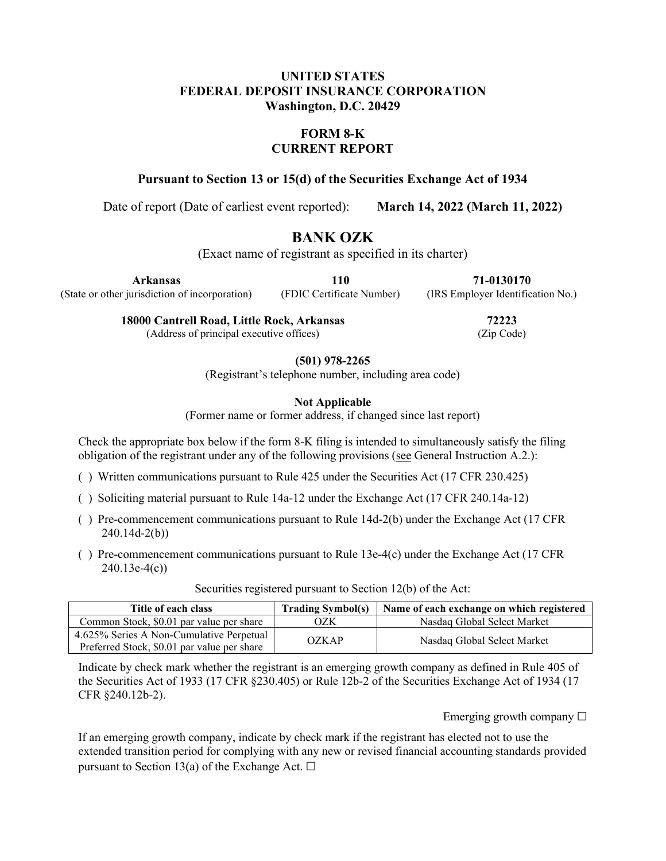## **UNITED STATES FEDERAL DEPOSIT INSURANCE CORPORATION Washington, D.C. 20429**

# **FORM 8-K CURRENT REPORT**

**Pursuant to Section 13 or 15(d) of the Securities Exchange Act of 1934**

Date of report (Date of earliest event reported): **March 14, 2022 (March 11, 2022)**

# **BANK OZK**

(Exact name of registrant as specified in its charter)

**Arkansas** (State or other jurisdiction of incorporation) **110**

(FDIC Certificate Number)

**71-0130170** (IRS Employer Identification No.)

**18000 Cantrell Road, Little Rock, Arkansas**

(Address of principal executive offices)

**72223** (Zip Code)

**(501) 978-2265**

(Registrant's telephone number, including area code)

**Not Applicable**

(Former name or former address, if changed since last report)

Check the appropriate box below if the form 8-K filing is intended to simultaneously satisfy the filing obligation of the registrant under any of the following provisions (see General Instruction A.2.):

- ( ) Written communications pursuant to Rule 425 under the Securities Act (17 CFR 230.425)
- ( ) Soliciting material pursuant to Rule 14a-12 under the Exchange Act (17 CFR 240.14a-12)
- ( ) Pre-commencement communications pursuant to Rule 14d-2(b) under the Exchange Act (17 CFR 240.14d-2(b))
- ( ) Pre-commencement communications pursuant to Rule 13e-4(c) under the Exchange Act (17 CFR 240.13e-4(c))

| Title of each class                                                                     | <b>Trading Symbol(s)</b> | Name of each exchange on which registered |
|-----------------------------------------------------------------------------------------|--------------------------|-------------------------------------------|
| Common Stock, \$0.01 par value per share                                                | OZK                      | Nasdag Global Select Market               |
| 4.625% Series A Non-Cumulative Perpetual<br>Preferred Stock, \$0.01 par value per share | OZKAP                    | Nasdaq Global Select Market               |

Securities registered pursuant to Section 12(b) of the Act:

Indicate by check mark whether the registrant is an emerging growth company as defined in Rule 405 of the Securities Act of 1933 (17 CFR §230.405) or Rule 12b-2 of the Securities Exchange Act of 1934 (17 CFR §240.12b-2).

Emerging growth company  $\Box$ 

If an emerging growth company, indicate by check mark if the registrant has elected not to use the extended transition period for complying with any new or revised financial accounting standards provided pursuant to Section 13(a) of the Exchange Act.  $\square$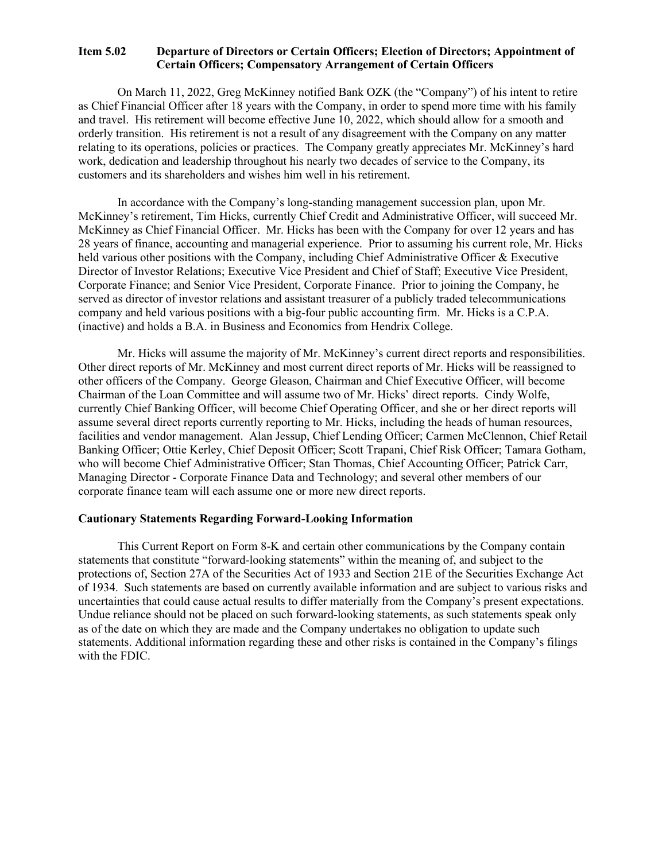#### **Item 5.02 Departure of Directors or Certain Officers; Election of Directors; Appointment of Certain Officers; Compensatory Arrangement of Certain Officers**

On March 11, 2022, Greg McKinney notified Bank OZK (the "Company") of his intent to retire as Chief Financial Officer after 18 years with the Company, in order to spend more time with his family and travel. His retirement will become effective June 10, 2022, which should allow for a smooth and orderly transition. His retirement is not a result of any disagreement with the Company on any matter relating to its operations, policies or practices. The Company greatly appreciates Mr. McKinney's hard work, dedication and leadership throughout his nearly two decades of service to the Company, its customers and its shareholders and wishes him well in his retirement.

In accordance with the Company's long-standing management succession plan, upon Mr. McKinney's retirement, Tim Hicks, currently Chief Credit and Administrative Officer, will succeed Mr. McKinney as Chief Financial Officer. Mr. Hicks has been with the Company for over 12 years and has 28 years of finance, accounting and managerial experience. Prior to assuming his current role, Mr. Hicks held various other positions with the Company, including Chief Administrative Officer & Executive Director of Investor Relations; Executive Vice President and Chief of Staff; Executive Vice President, Corporate Finance; and Senior Vice President, Corporate Finance. Prior to joining the Company, he served as director of investor relations and assistant treasurer of a publicly traded telecommunications company and held various positions with a big-four public accounting firm. Mr. Hicks is a C.P.A. (inactive) and holds a B.A. in Business and Economics from Hendrix College.

Mr. Hicks will assume the majority of Mr. McKinney's current direct reports and responsibilities. Other direct reports of Mr. McKinney and most current direct reports of Mr. Hicks will be reassigned to other officers of the Company. George Gleason, Chairman and Chief Executive Officer, will become Chairman of the Loan Committee and will assume two of Mr. Hicks' direct reports. Cindy Wolfe, currently Chief Banking Officer, will become Chief Operating Officer, and she or her direct reports will assume several direct reports currently reporting to Mr. Hicks, including the heads of human resources, facilities and vendor management. Alan Jessup, Chief Lending Officer; Carmen McClennon, Chief Retail Banking Officer; Ottie Kerley, Chief Deposit Officer; Scott Trapani, Chief Risk Officer; Tamara Gotham, who will become Chief Administrative Officer; Stan Thomas, Chief Accounting Officer; Patrick Carr, Managing Director - Corporate Finance Data and Technology; and several other members of our corporate finance team will each assume one or more new direct reports.

#### **Cautionary Statements Regarding Forward-Looking Information**

This Current Report on Form 8-K and certain other communications by the Company contain statements that constitute "forward-looking statements" within the meaning of, and subject to the protections of, Section 27A of the Securities Act of 1933 and Section 21E of the Securities Exchange Act of 1934. Such statements are based on currently available information and are subject to various risks and uncertainties that could cause actual results to differ materially from the Company's present expectations. Undue reliance should not be placed on such forward-looking statements, as such statements speak only as of the date on which they are made and the Company undertakes no obligation to update such statements. Additional information regarding these and other risks is contained in the Company's filings with the FDIC.